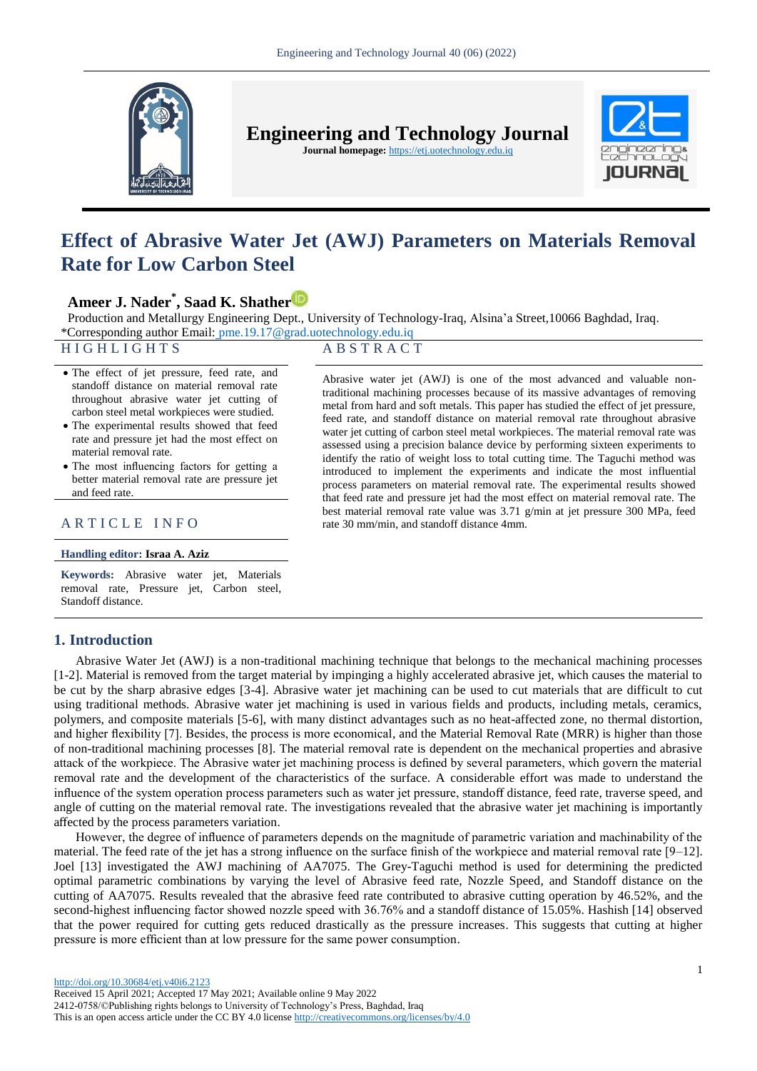

**Engineering and Technology Journal** 

**Journal homepage:** https://etj.uotechnology.edu.iq



# **Effect of Abrasive Water Jet (AWJ) Parameters on Materials Removal Rate for Low Carbon Steel**

# **Ameer J. Nader\* , Saad K. Shathe[r](https://orcid.org/0000-0001-9184-9998)**

Production and Metallurgy Engineering Dept., University of Technology-Iraq, Alsina'a Street,10066 Baghdad, Iraq. \*Corresponding author Email: [pme.19.17@grad.uotechnology.edu.iq](file:///C:/Users/ameer/Downloads/Telegram%20Desktop/pme.19.17@grad.uotechnology.edu.iq)

# H I G H L I G H T S A B S T R A C T

Abrasive water jet (AWJ) is one of the most advanced and valuable nontraditional machining processes because of its massive advantages of removing metal from hard and soft metals. This paper has studied the effect of jet pressure, feed rate, and standoff distance on material removal rate throughout abrasive water jet cutting of carbon steel metal workpieces. The material removal rate was assessed using a precision balance device by performing sixteen experiments to identify the ratio of weight loss to total cutting time. The Taguchi method was introduced to implement the experiments and indicate the most influential process parameters on material removal rate. The experimental results showed that feed rate and pressure jet had the most effect on material removal rate. The best material removal rate value was 3.71 g/min at jet pressure 300 MPa, feed

- The effect of jet pressure, feed rate, and standoff distance on material removal rate throughout abrasive water jet cutting of carbon steel metal workpieces were studied.
- The experimental results showed that feed rate and pressure jet had the most effect on material removal rate.
- The most influencing factors for getting a better material removal rate are pressure jet and feed rate.

# A R T I C L E I N F O rate 30 mm/min, and standoff distance 4mm.

#### **Handling editor: Israa A. Aziz**

**Keywords:** Abrasive water jet, Materials removal rate, Pressure jet, Carbon steel, Standoff distance.

# **1. Introduction**

Abrasive Water Jet (AWJ) is a non-traditional machining technique that belongs to the mechanical machining processes [1-2]. Material is removed from the target material by impinging a highly accelerated abrasive jet, which causes the material to be cut by the sharp abrasive edges [3-4]. Abrasive water jet machining can be used to cut materials that are difficult to cut using traditional methods. Abrasive water jet machining is used in various fields and products, including metals, ceramics, polymers, and composite materials [5-6], with many distinct advantages such as no heat-affected zone, no thermal distortion, and higher flexibility [7]. Besides, the process is more economical, and the Material Removal Rate (MRR) is higher than those of non-traditional machining processes [8]. The material removal rate is dependent on the mechanical properties and abrasive attack of the workpiece. The Abrasive water jet machining process is defined by several parameters, which govern the material removal rate and the development of the characteristics of the surface. A considerable effort was made to understand the influence of the system operation process parameters such as water jet pressure, standoff distance, feed rate, traverse speed, and angle of cutting on the material removal rate. The investigations revealed that the abrasive water jet machining is importantly affected by the process parameters variation.

However, the degree of influence of parameters depends on the magnitude of parametric variation and machinability of the material. The feed rate of the jet has a strong influence on the surface finish of the workpiece and material removal rate [9–12]. Joel [13] investigated the AWJ machining of AA7075. The Grey-Taguchi method is used for determining the predicted optimal parametric combinations by varying the level of Abrasive feed rate, Nozzle Speed, and Standoff distance on the cutting of AA7075. Results revealed that the abrasive feed rate contributed to abrasive cutting operation by 46.52%, and the second-highest influencing factor showed nozzle speed with 36.76% and a standoff distance of 15.05%. Hashish [14] observed that the power required for cutting gets reduced drastically as the pressure increases. This suggests that cutting at higher pressure is more efficient than at low pressure for the same power consumption.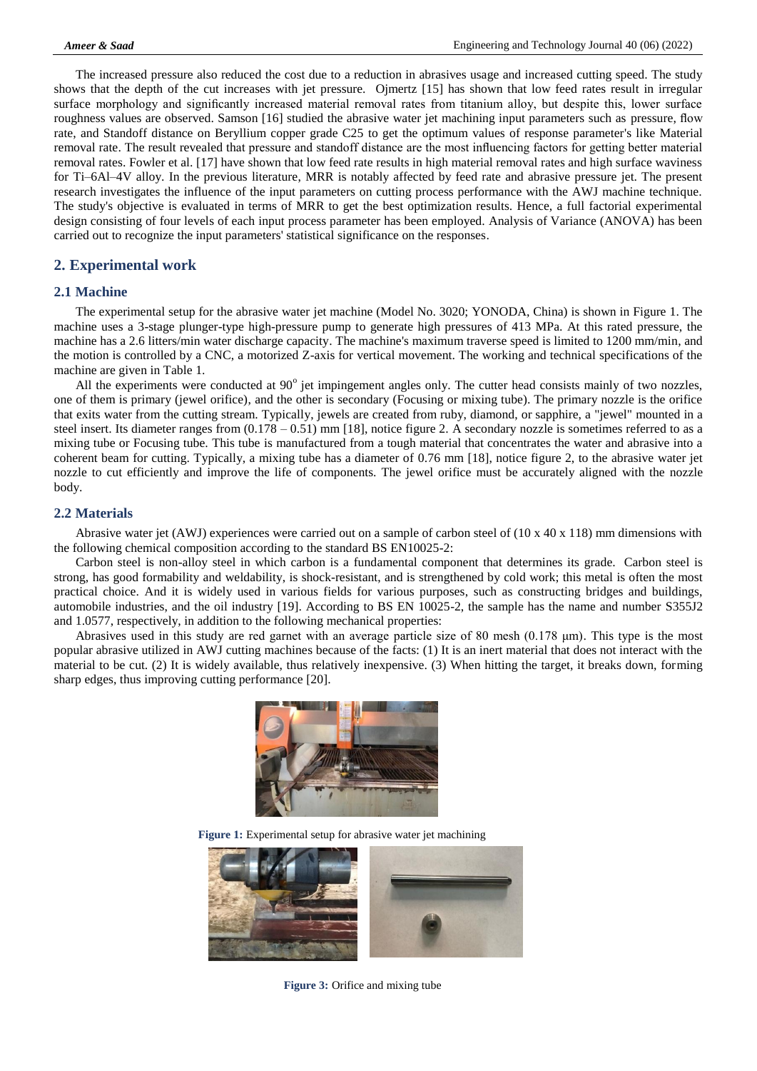The increased pressure also reduced the cost due to a reduction in abrasives usage and increased cutting speed. The study shows that the depth of the cut increases with jet pressure. Ojmertz [15] has shown that low feed rates result in irregular surface morphology and significantly increased material removal rates from titanium alloy, but despite this, lower surface roughness values are observed. Samson [16] studied the abrasive water jet machining input parameters such as pressure, flow rate, and Standoff distance on Beryllium copper grade C25 to get the optimum values of response parameter's like Material removal rate. The result revealed that pressure and standoff distance are the most influencing factors for getting better material removal rates. Fowler et al. [17] have shown that low feed rate results in high material removal rates and high surface waviness for Ti–6Al–4V alloy. In the previous literature, MRR is notably affected by feed rate and abrasive pressure jet. The present research investigates the influence of the input parameters on cutting process performance with the AWJ machine technique. The study's objective is evaluated in terms of MRR to get the best optimization results. Hence, a full factorial experimental design consisting of four levels of each input process parameter has been employed. Analysis of Variance (ANOVA) has been carried out to recognize the input parameters' statistical significance on the responses.

# **2. Experimental work**

#### **2.1 Machine**

The experimental setup for the abrasive water jet machine (Model No. 3020; YONODA, China) is shown in Figure 1. The machine uses a 3-stage plunger-type high-pressure pump to generate high pressures of 413 MPa. At this rated pressure, the machine has a 2.6 litters/min water discharge capacity. The machine's maximum traverse speed is limited to 1200 mm/min, and the motion is controlled by a CNC, a motorized Z-axis for vertical movement. The working and technical specifications of the machine are given in Table 1.

All the experiments were conducted at  $90^{\circ}$  jet impingement angles only. The cutter head consists mainly of two nozzles, one of them is primary (jewel orifice), and the other is secondary (Focusing or mixing tube). The primary nozzle is the orifice that exits water from the cutting stream. Typically, jewels are created from ruby, diamond, or sapphire, a "jewel" mounted in a steel insert. Its diameter ranges from (0.178 – 0.51) mm [18], notice figure 2. A secondary nozzle is sometimes referred to as a mixing tube or Focusing tube. This tube is manufactured from a tough material that concentrates the water and abrasive into a coherent beam for cutting. Typically, a mixing tube has a diameter of 0.76 mm [18], notice figure 2, to the abrasive water jet nozzle to cut efficiently and improve the life of components. The jewel orifice must be accurately aligned with the nozzle body.

#### **2.2 Materials**

Abrasive water jet (AWJ) experiences were carried out on a sample of carbon steel of (10 x 40 x 118) mm dimensions with the following chemical composition according to the standard BS EN10025-2:

Carbon steel is non-alloy steel in which carbon is a fundamental component that determines its grade. Carbon steel is strong, has good formability and weldability, is shock-resistant, and is strengthened by cold work; this metal is often the most practical choice. And it is widely used in various fields for various purposes, such as constructing bridges and buildings, automobile industries, and the oil industry [19]. According to BS EN 10025-2, the sample has the name and number S355J2 and 1.0577, respectively, in addition to the following mechanical properties:

Abrasives used in this study are red garnet with an average particle size of 80 mesh (0.178 μm). This type is the most popular abrasive utilized in AWJ cutting machines because of the facts: (1) It is an inert material that does not interact with the material to be cut. (2) It is widely available, thus relatively inexpensive. (3) When hitting the target, it breaks down, forming sharp edges, thus improving cutting performance [20].



**Figure 1:** Experimental setup for abrasive water jet machining



**Figure 3:** Orifice and mixing tube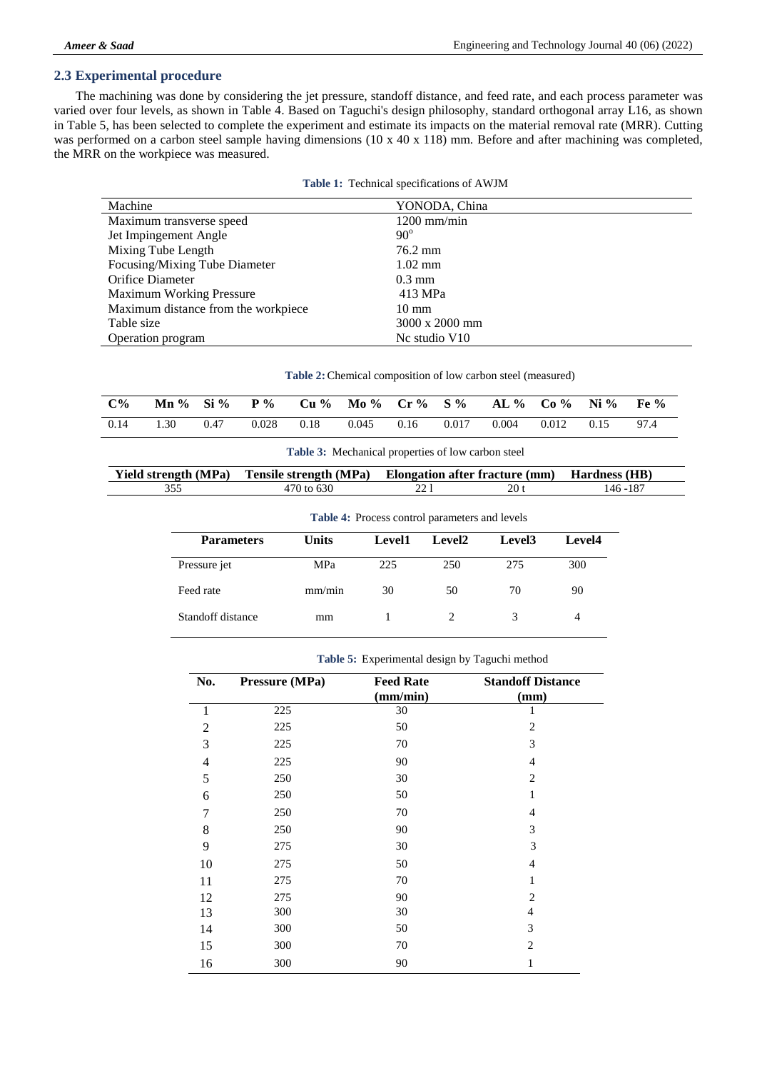# **2.3 Experimental procedure**

The machining was done by considering the jet pressure, standoff distance, and feed rate, and each process parameter was varied over four levels, as shown in Table 4. Based on Taguchi's design philosophy, standard orthogonal array L16, as shown in Table 5, has been selected to complete the experiment and estimate its impacts on the material removal rate (MRR). Cutting was performed on a carbon steel sample having dimensions (10 x 40 x 118) mm. Before and after machining was completed, the MRR on the workpiece was measured.

| Machine                             | YONODA, China    |
|-------------------------------------|------------------|
| Maximum transverse speed            | $1200$ mm/min    |
| Jet Impingement Angle               | $90^\circ$       |
| Mixing Tube Length                  | 76.2 mm          |
| Focusing/Mixing Tube Diameter       | $1.02$ mm        |
| Orifice Diameter                    | $0.3 \text{ mm}$ |
| <b>Maximum Working Pressure</b>     | 413 MPa          |
| Maximum distance from the workpiece | $10 \text{ mm}$  |
| Table size                          | 3000 x 2000 mm   |
| Operation program                   | No studio $V10$  |

**Table 2:**Chemical composition of low carbon steel (measured)

| $C\%$ |      |      |       |      | Mn % Si % P % Cu % Mo % Cr % S % AL % Co % Ni % |       |       |              | Fe <sub>9</sub> |
|-------|------|------|-------|------|-------------------------------------------------|-------|-------|--------------|-----------------|
| 0.14  | 1.30 | 0.47 | 0.028 | 0.18 | $0.045$ 0.16                                    | 0.017 | 0.004 | $0.012$ 0.15 | 97.4            |

| <b>Yield strength (MPa)</b> | <sup>1</sup> Tensile strength (MPa) Elongation after fracture (mm) Hardness (HB) |      |      |          |
|-----------------------------|----------------------------------------------------------------------------------|------|------|----------|
|                             | 470 to 630                                                                       | າາ 1 | 20 t | 146 -187 |

| <b>Parameters</b> | <b>Units</b> | Level1 | Level2 | Level <sub>3</sub> | Level4 |
|-------------------|--------------|--------|--------|--------------------|--------|
| Pressure jet      | MPa          | 225    | 250    | 275                | 300    |
| Feed rate         | mm/min       | 30     | 50     | 70                 | 90     |
| Standoff distance | mm           |        |        | 3                  | 4      |

| No.            | Pressure (MPa) | <b>Feed Rate</b> | <b>Standoff Distance</b> |
|----------------|----------------|------------------|--------------------------|
|                |                | (mm/min)         | (mm)                     |
| 1              | 225            | 30               | 1                        |
| $\overline{2}$ | 225            | 50               | 2                        |
| 3              | 225            | 70               | 3                        |
| $\overline{4}$ | 225            | 90               | $\overline{4}$           |
| 5              | 250            | 30               | $\overline{2}$           |
| 6              | 250            | 50               | 1                        |
| 7              | 250            | 70               | $\overline{4}$           |
| 8              | 250            | 90               | 3                        |
| 9              | 275            | 30               | 3                        |
| 10             | 275            | 50               | $\overline{4}$           |
| 11             | 275            | 70               | 1                        |
| 12             | 275            | 90               | $\overline{2}$           |
| 13             | 300            | 30               | 4                        |
| 14             | 300            | 50               | 3                        |
| 15             | 300            | 70               | $\overline{2}$           |
| 16             | 300            | 90               | $\mathbf{1}$             |

#### **Table 5:** Experimental design by Taguchi method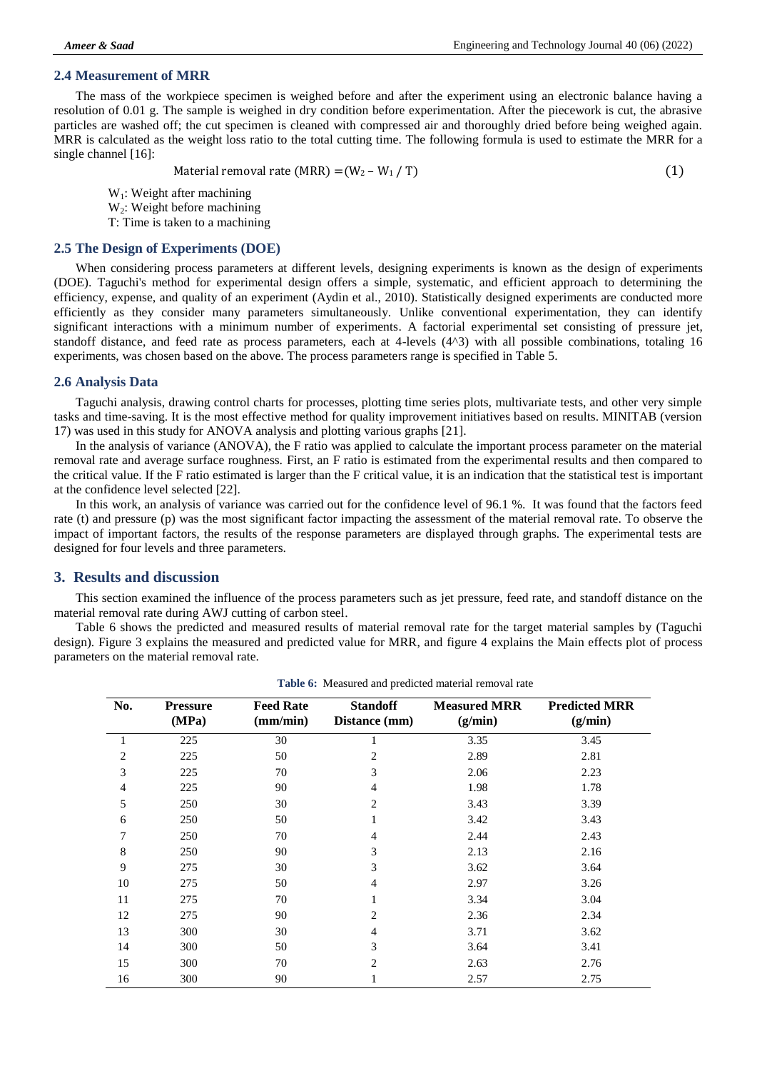#### **2.4 Measurement of MRR**

The mass of the workpiece specimen is weighed before and after the experiment using an electronic balance having a resolution of 0.01 g. The sample is weighed in dry condition before experimentation. After the piecework is cut, the abrasive particles are washed off; the cut specimen is cleaned with compressed air and thoroughly dried before being weighed again. MRR is calculated as the weight loss ratio to the total cutting time. The following formula is used to estimate the MRR for a single channel [16]:

Material removal rate (MRR) =  $(W_2 - W_1 / T)$  (1)

 $W_1$ : Weight after machining

 $W<sub>2</sub>$ : Weight before machining

T: Time is taken to a machining

# **2.5 The Design of Experiments (DOE)**

When considering process parameters at different levels, designing experiments is known as the design of experiments (DOE). Taguchi's method for experimental design offers a simple, systematic, and efficient approach to determining the efficiency, expense, and quality of an experiment (Aydin et al., 2010). Statistically designed experiments are conducted more efficiently as they consider many parameters simultaneously. Unlike conventional experimentation, they can identify significant interactions with a minimum number of experiments. A factorial experimental set consisting of pressure jet, standoff distance, and feed rate as process parameters, each at 4-levels (4^3) with all possible combinations, totaling 16 experiments, was chosen based on the above. The process parameters range is specified in Table 5.

### **2.6 Analysis Data**

Taguchi analysis, drawing control charts for processes, plotting time series plots, multivariate tests, and other very simple tasks and time-saving. It is the most effective method for quality improvement initiatives based on results. MINITAB (version 17) was used in this study for ANOVA analysis and plotting various graphs [21].

In the analysis of variance (ANOVA), the F ratio was applied to calculate the important process parameter on the material removal rate and average surface roughness. First, an F ratio is estimated from the experimental results and then compared to the critical value. If the F ratio estimated is larger than the F critical value, it is an indication that the statistical test is important at the confidence level selected [22].

In this work, an analysis of variance was carried out for the confidence level of 96.1 %. It was found that the factors feed rate (t) and pressure (p) was the most significant factor impacting the assessment of the material removal rate. To observe the impact of important factors, the results of the response parameters are displayed through graphs. The experimental tests are designed for four levels and three parameters.

# **3. Results and discussion**

This section examined the influence of the process parameters such as jet pressure, feed rate, and standoff distance on the material removal rate during AWJ cutting of carbon steel.

Table 6 shows the predicted and measured results of material removal rate for the target material samples by (Taguchi design). Figure 3 explains the measured and predicted value for MRR, and figure 4 explains the Main effects plot of process parameters on the material removal rate.

| No.            | <b>Pressure</b><br>(MPa) | <b>Feed Rate</b><br>(mm/min) | <b>Standoff</b><br>Distance (mm) | <b>Measured MRR</b><br>(g/min) | <b>Predicted MRR</b><br>(g/min) |
|----------------|--------------------------|------------------------------|----------------------------------|--------------------------------|---------------------------------|
| $\mathbf{1}$   | 225                      | 30                           | 1                                | 3.35                           | 3.45                            |
| $\overline{2}$ | 225                      | 50                           | 2                                | 2.89                           | 2.81                            |
| 3              | 225                      | 70                           | 3                                | 2.06                           | 2.23                            |
| $\overline{4}$ | 225                      | 90                           | 4                                | 1.98                           | 1.78                            |
| 5              | 250                      | 30                           | 2                                | 3.43                           | 3.39                            |
| 6              | 250                      | 50                           | 1                                | 3.42                           | 3.43                            |
| 7              | 250                      | 70                           | 4                                | 2.44                           | 2.43                            |
| 8              | 250                      | 90                           | 3                                | 2.13                           | 2.16                            |
| 9              | 275                      | 30                           | 3                                | 3.62                           | 3.64                            |
| 10             | 275                      | 50                           | 4                                | 2.97                           | 3.26                            |
| 11             | 275                      | 70                           | 1                                | 3.34                           | 3.04                            |
| 12             | 275                      | 90                           | 2                                | 2.36                           | 2.34                            |
| 13             | 300                      | 30                           | 4                                | 3.71                           | 3.62                            |
| 14             | 300                      | 50                           | 3                                | 3.64                           | 3.41                            |
| 15             | 300                      | 70                           | $\overline{c}$                   | 2.63                           | 2.76                            |
| 16             | 300                      | 90                           |                                  | 2.57                           | 2.75                            |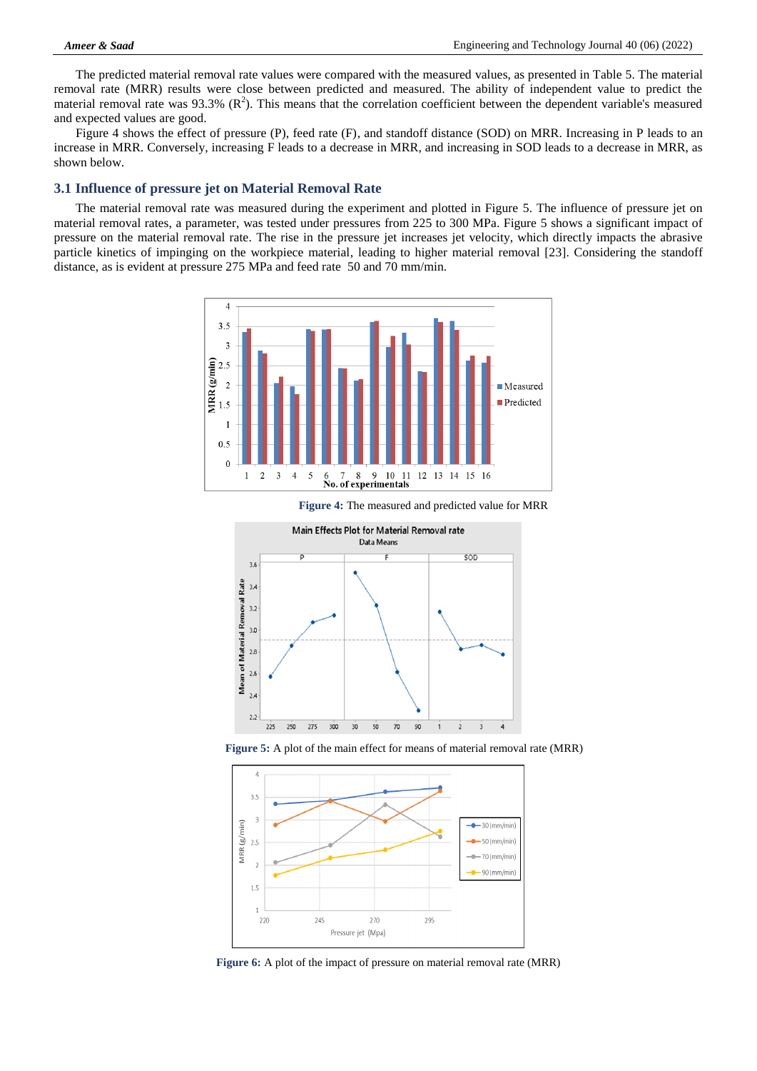The predicted material removal rate values were compared with the measured values, as presented in Table 5. The material removal rate (MRR) results were close between predicted and measured. The ability of independent value to predict the material removal rate was 93.3%  $(R^2)$ . This means that the correlation coefficient between the dependent variable's measured and expected values are good.

Figure 4 shows the effect of pressure (P), feed rate (F), and standoff distance (SOD) on MRR. Increasing in P leads to an increase in MRR. Conversely, increasing F leads to a decrease in MRR, and increasing in SOD leads to a decrease in MRR, as shown below.

### **3.1 Influence of pressure jet on Material Removal Rate**

The material removal rate was measured during the experiment and plotted in Figure 5. The influence of pressure jet on material removal rates, a parameter, was tested under pressures from 225 to 300 MPa. Figure 5 shows a significant impact of pressure on the material removal rate. The rise in the pressure jet increases jet velocity, which directly impacts the abrasive particle kinetics of impinging on the workpiece material, leading to higher material removal [23]. Considering the standoff distance, as is evident at pressure 275 MPa and feed rate 50 and 70 mm/min.





**Figure 4:** The measured and predicted value for MRR

**Figure 5:** A plot of the main effect for means of material removal rate (MRR)



**Figure 6:** A plot of the impact of pressure on material removal rate (MRR)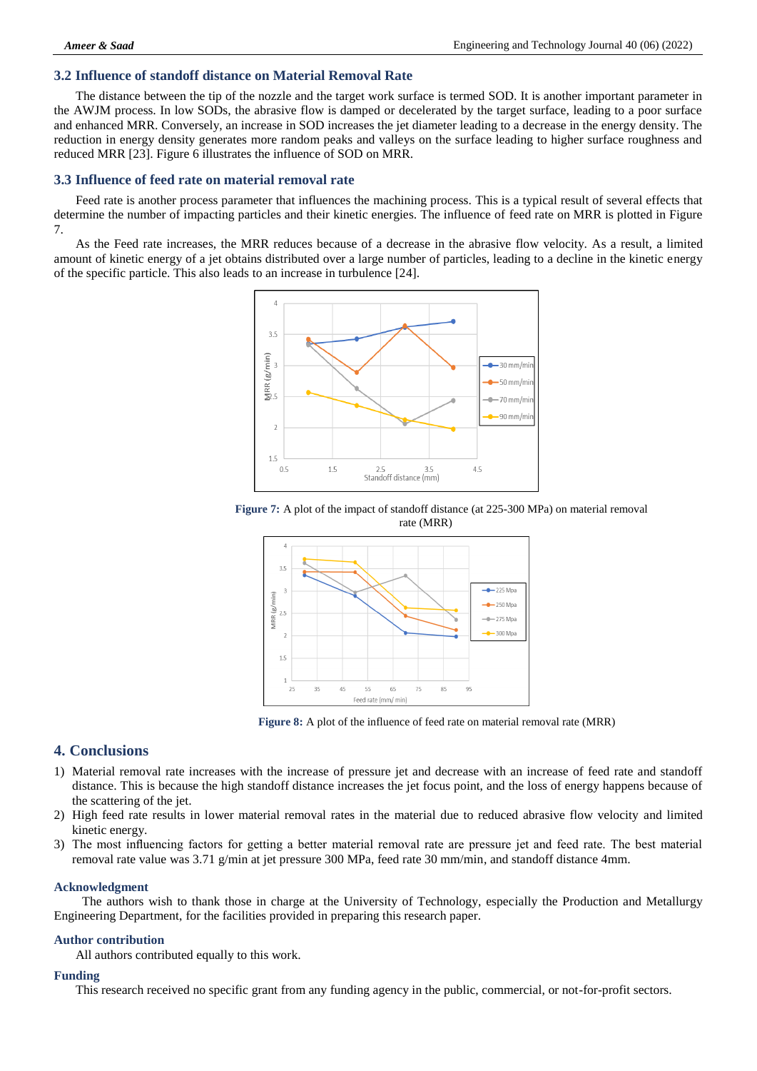## **3.2 Influence of standoff distance on Material Removal Rate**

The distance between the tip of the nozzle and the target work surface is termed SOD. It is another important parameter in the AWJM process. In low SODs, the abrasive flow is damped or decelerated by the target surface, leading to a poor surface and enhanced MRR. Conversely, an increase in SOD increases the jet diameter leading to a decrease in the energy density. The reduction in energy density generates more random peaks and valleys on the surface leading to higher surface roughness and reduced MRR [23]. Figure 6 illustrates the influence of SOD on MRR.

#### **3.3 Influence of feed rate on material removal rate**

Feed rate is another process parameter that influences the machining process. This is a typical result of several effects that determine the number of impacting particles and their kinetic energies. The influence of feed rate on MRR is plotted in Figure 7.

As the Feed rate increases, the MRR reduces because of a decrease in the abrasive flow velocity. As a result, a limited amount of kinetic energy of a jet obtains distributed over a large number of particles, leading to a decline in the kinetic energy of the specific particle. This also leads to an increase in turbulence [24].







**Figure 8:** A plot of the influence of feed rate on material removal rate (MRR)

# **4. Conclusions**

- 1) Material removal rate increases with the increase of pressure jet and decrease with an increase of feed rate and standoff distance. This is because the high standoff distance increases the jet focus point, and the loss of energy happens because of the scattering of the jet.
- 2) High feed rate results in lower material removal rates in the material due to reduced abrasive flow velocity and limited kinetic energy.
- 3) The most influencing factors for getting a better material removal rate are pressure jet and feed rate. The best material removal rate value was 3.71 g/min at jet pressure 300 MPa, feed rate 30 mm/min, and standoff distance 4mm.

#### **Acknowledgment**

The authors wish to thank those in charge at the University of Technology, especially the Production and Metallurgy Engineering Department, for the facilities provided in preparing this research paper.

#### **Author contribution**

All authors contributed equally to this work.

#### **Funding**

This research received no specific grant from any funding agency in the public, commercial, or not-for-profit sectors.